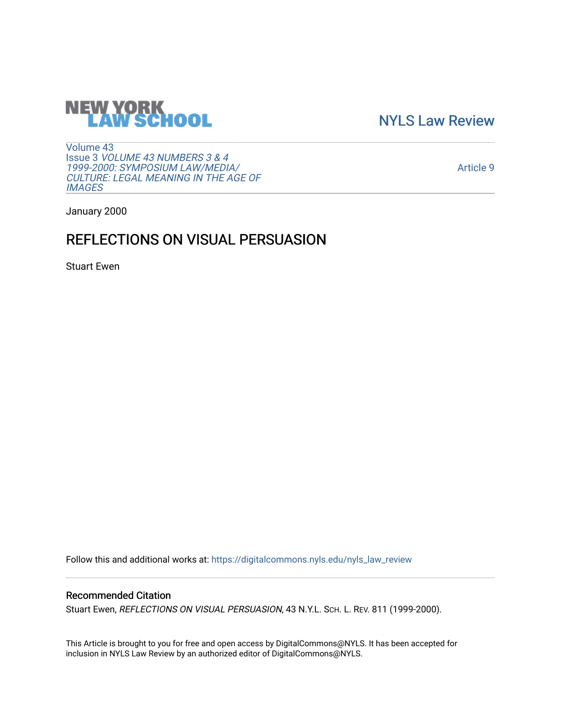# **NEW YORK<br>LAW SCHOOL**

[NYLS Law Review](https://digitalcommons.nyls.edu/nyls_law_review) 

[Volume 43](https://digitalcommons.nyls.edu/nyls_law_review/vol43) Issue 3 [VOLUME 43 NUMBERS 3 & 4](https://digitalcommons.nyls.edu/nyls_law_review/vol43/iss3)  [1999-2000: SYMPOSIUM LAW/MEDIA/](https://digitalcommons.nyls.edu/nyls_law_review/vol43/iss3) [CULTURE: LEGAL MEANING IN THE AGE OF](https://digitalcommons.nyls.edu/nyls_law_review/vol43/iss3) **[IMAGES](https://digitalcommons.nyls.edu/nyls_law_review/vol43/iss3)** 

[Article 9](https://digitalcommons.nyls.edu/nyls_law_review/vol43/iss3/9) 

January 2000

## REFLECTIONS ON VISUAL PERSUASION

Stuart Ewen

Follow this and additional works at: [https://digitalcommons.nyls.edu/nyls\\_law\\_review](https://digitalcommons.nyls.edu/nyls_law_review?utm_source=digitalcommons.nyls.edu%2Fnyls_law_review%2Fvol43%2Fiss3%2F9&utm_medium=PDF&utm_campaign=PDFCoverPages) 

### Recommended Citation

Stuart Ewen, REFLECTIONS ON VISUAL PERSUASION, 43 N.Y.L. SCH. L. REV. 811 (1999-2000).

This Article is brought to you for free and open access by DigitalCommons@NYLS. It has been accepted for inclusion in NYLS Law Review by an authorized editor of DigitalCommons@NYLS.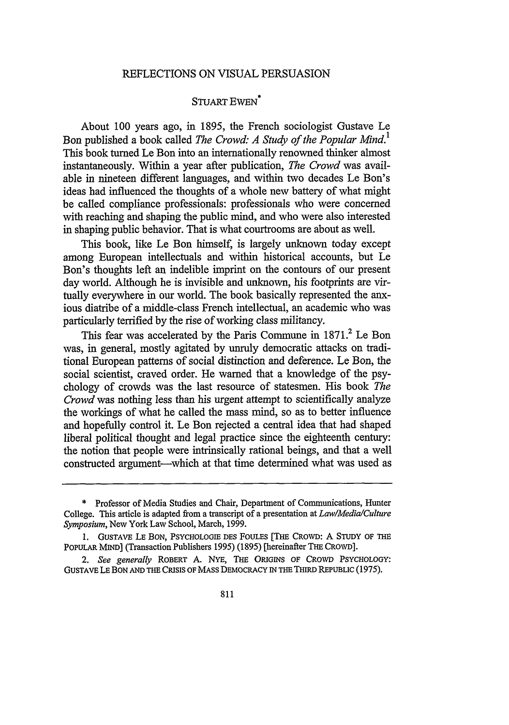#### REFLECTIONS ON VISUAL PERSUASION

#### STUART **EWEN\***

About 100 years ago, in 1895, the French sociologist Gustave Le Bon published a book called *The Crowd: A Study of the Popular Mind.*<sup>1</sup> This book turned Le Bon into an internationally renowned thinker almost instantaneously. Within a year after publication, *The Crowd* was available in nineteen different languages, and within two decades Le Bon's ideas had influenced the thoughts of a whole new battery of what might be called compliance professionals: professionals who were concerned with reaching and shaping the public mind, and who were also interested in shaping public behavior. That is what courtrooms are about as well.

This book, like Le Bon himself, is largely unknown today except among European intellectuals and within historical accounts, but Le Bon's thoughts left an indelible imprint on the contours of our present day world. Although he is invisible and unknown, his footprints are virtually everywhere in our world. The book basically represented the anxious diatribe of a middle-class French intellectual, an academic who was particularly terrified by the rise of working class militancy.

This fear was accelerated by the Paris Commune in 1871.<sup>2</sup> Le Bon was, in general, mostly agitated by unruly democratic attacks on traditional European patterns of social distinction and deference. Le Bon, the social scientist, craved order. He warned that a knowledge of the psychology of crowds was the last resource of statesmen. His book *The Crowd* was nothing less than his urgent attempt to scientifically analyze the workings of what he called the mass mind, so as to better influence and hopefully control it. Le Bon rejected a central idea that had shaped liberal political thought and legal practice since the eighteenth century: the notion that people were intrinsically rational beings, and that a well constructed argument-which at that time determined what was used as

<sup>\*</sup> Professor of Media Studies and Chair, Department of Communications, Hunter College. This article is adapted from a transcript of a presentation at *Law/Media/Culture Symposium,* New York Law School, March, 1999.

**<sup>1.</sup>** GUsTAVE LE BON, **PsYCHOLOGIE** DES FoULES [THE CRoWD: A STUDY OF THE PoPULAR MIND] (Transaction Publishers 1995) (1895) [hereinafter THE CROWD].

<sup>2.</sup> *See generally* ROBERT A. NYE, THE ORIGINS **OF** CROWD PSYCHOLOGY: GUSTAvE **LE** BON **AND** THE CRISIS **OF** MASS DEMOCRACY IN THE THIRD REPUBLIC (1975).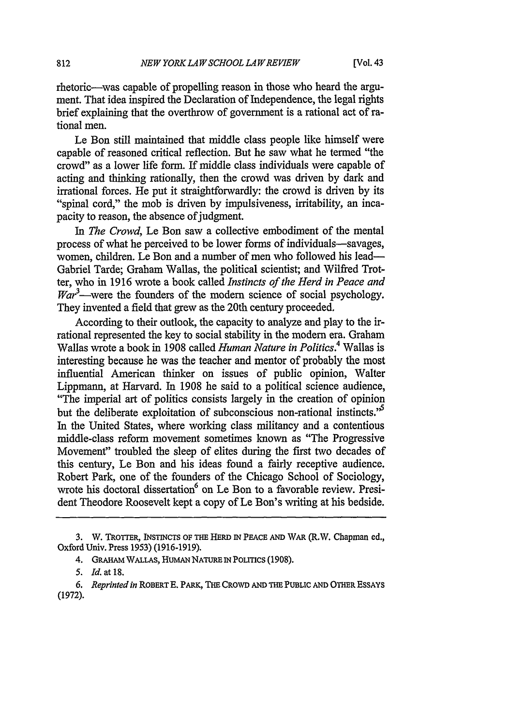rhetoric—was capable of propelling reason in those who heard the argument. That idea inspired the Declaration of Independence, the legal rights brief explaining that the overthrow of government is a rational act of rational men.

Le Bon still maintained that middle class people like himself were capable of reasoned critical reflection. But he saw what he termed "the crowd" as a lower life form. If middle class individuals were capable of acting and thinking rationally, then the crowd was driven by dark and irrational forces. He put it straightforwardly: the crowd is driven by its "spinal cord," the mob is driven by impulsiveness, irritability, an incapacity to reason, the absence of judgment.

*In The Crowd,* Le Bon saw a collective embodiment of the mental process of what he perceived to be lower forms of individuals-savages, women, children. Le Bon and a number of men who followed his lead-Gabriel Tarde; Graham Wallas, the political scientist; and Wilfred Trotter, who in 1916 wrote a book called *Instincts of the Herd in Peace and*  $\textit{War}^3$ —were the founders of the modern science of social psychology. They invented a field that grew as the 20th century proceeded.

According to their outlook, the capacity to analyze and play to the irrational represented the key to social stability in the modem era. Graham Wallas wrote a book in 1908 called *Human Nature in Politics.4* Wallas is interesting because he was the teacher and mentor of probably the most influential American thinker on issues of public opinion, Walter Lippmann, at Harvard. In 1908 he said to a political science audience, "The imperial art of politics consists largely in the creation of opinion but the deliberate exploitation of subconscious non-rational instincts.<sup>5</sup> In the United States, where working class militancy and a contentious middle-class reform movement sometimes known as "The Progressive Movement" troubled the sleep of elites during the first two decades of this century, Le Bon and his ideas found a fairly receptive audience. Robert Park, one of the founders of the Chicago School of Sociology, wrote his doctoral dissertation<sup>6</sup> on Le Bon to a favorable review. President Theodore Roosevelt kept a copy of Le Bon's writing at his bedside.

<sup>3.</sup> W. TROTTER, INSTNCTS OF THE HERD IN PEACE **AND WAR** (R.W. Chapman ed., Oxford Univ. Press 1953) (1916-1919).

<sup>4.</sup> GRAHAM WALLAS, HUMAN NATURE IN POLITICS (1908).

*<sup>5.</sup> Id.* at 18.

*<sup>6.</sup> Reprinted in* ROBERT E. PARK, **THE** CROWD **AND** THE PUBLIC AND OTHER ESSAYS (1972).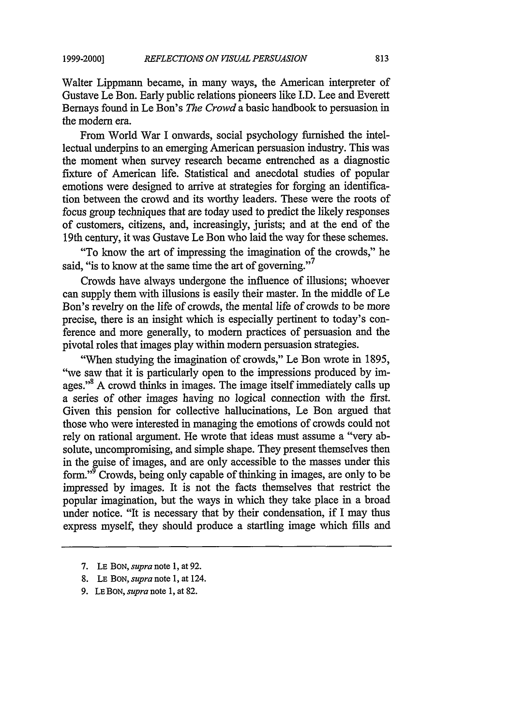**1999-2000]**

Walter Lippmann became, in many ways, the American interpreter of Gustave Le Bon. Early public relations pioneers like I.D. Lee and Everett Bemays found in Le Bon's *The Crowd* a basic handbook to persuasion in the modem era.

From World War I onwards, social psychology furnished the intellectual underpins to an emerging American persuasion industry. This was the moment when survey research became entrenched as a diagnostic fixture of American life. Statistical and anecdotal studies of popular emotions were designed to arrive at strategies for forging an identification between the crowd and its worthy leaders. These were the roots of focus group techniques that are today used to predict the likely responses of customers, citizens, and, increasingly, jurists; and at the end of the 19th century, it was Gustave Le Bon who laid the way for these schemes.

"To know the art of impressing the imagination of the crowds," he said, "is to know at the same time the art of governing."<sup>7</sup>

Crowds have always undergone the influence of illusions; whoever can supply them with illusions is easily their master. In the middle of Le Bon's revelry on the life of crowds, the mental life of crowds to be more precise, there is an insight which is especially pertinent to today's conference and more generally, to modem practices of persuasion and the pivotal roles that images play within modem persuasion strategies.

"When studying the imagination of crowds," Le Bon wrote in 1895, "we saw that it is particularly open to the impressions produced by images."<sup>8</sup> A crowd thinks in images. The image itself immediately calls up a series of other images having no logical connection with the first. Given this pension for collective hallucinations, Le Bon argued that those who were interested in managing the emotions of crowds could not rely on rational argument. He wrote that ideas must assume a "very absolute, uncompromising, and simple shape. They present themselves then in the guise of images, and are only accessible to the masses under this form."9 Crowds, being only capable of thinking in images, are only to be impressed by images. It is not the facts themselves that restrict the popular imagination, but the ways in which they take place in a broad under notice. "It is necessary that by their condensation, if I may thus express myself, they should produce a startling image which fills and

- **7. LE BON,** *supra* note **1,** at **92.**
- **8. LE BON,** *supra* note **1,** at 124.
- **9. LEBON,** *supra* note **1,** at 82.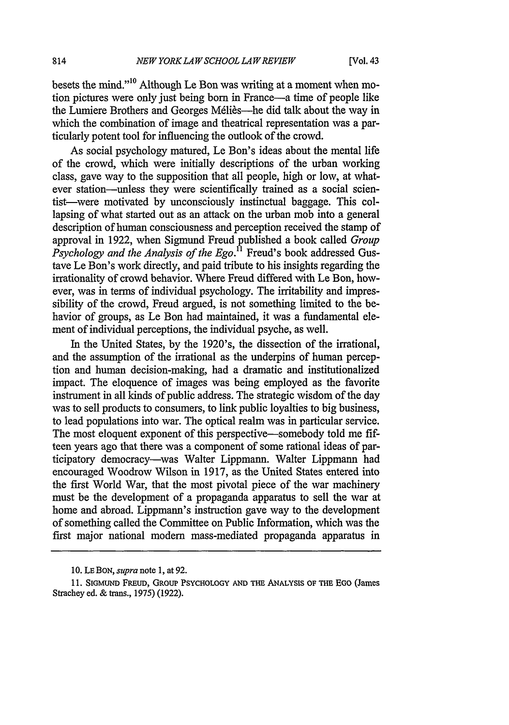besets the mind."<sup>10</sup> Although Le Bon was writing at a moment when motion pictures were only just being born in France-a time of people like the Lumiere Brothers and Georges Méliès—he did talk about the way in which the combination of image and theatrical representation was a particularly potent tool for influencing the outlook of the crowd.

As social psychology matured, Le Bon's ideas about the mental life of the crowd, which were initially descriptions of the urban working class, gave way to the supposition that all people, high or low, at whatever station--unless they were scientifically trained as a social scientist-were motivated by unconsciously instinctual baggage. This collapsing of what started out as an attack on the urban mob into a general description of human consciousness and perception received the stamp of approval in 1922, when Sigmund Freud published a book called *Group Psychology and the Analysis of the Ego.*<sup>11</sup> Freud's book addressed Gustave Le Bon's work directly, and paid tribute to his insights regarding the irrationality of crowd behavior. Where Freud differed with Le Bon, however, was in terms of individual psychology. The irritability and impressibility of the crowd, Freud argued, is not something limited to the behavior of groups, as Le Bon had maintained, it was a fundamental element of individual perceptions, the individual psyche, as well.

In the United States, by the 1920's, the dissection of the irrational, and the assumption of the irrational as the underpins of human perception and human decision-making, had a dramatic and institutionalized impact. The eloquence of images was being employed as the favorite instrument in all kinds of public address. The strategic wisdom of the day was to sell products to consumers, to link public loyalties to big business, to lead populations into war. The optical realm was in particular service. The most eloquent exponent of this perspective—somebody told me fifteen years ago that there was a component of some rational ideas of participatory democracy-was Walter Lippmann. Walter Lippmann had encouraged Woodrow Wilson in 1917, as the United States entered into the first World War, that the most pivotal piece of the war machinery must be the development of a propaganda apparatus to sell the war at home and abroad. Lippmann's instruction gave way to the development of something called the Committee on Public Information, which was the first major national modem mass-mediated propaganda apparatus in

<sup>10.</sup> LE **BON,** *supra* note 1, at 92.

<sup>11.</sup> SIGMUND FREUD, GRoup PSYCHOLOGY AND THE ANALYSIS OF THE EGO (James Strachey ed. & trans., 1975) (1922).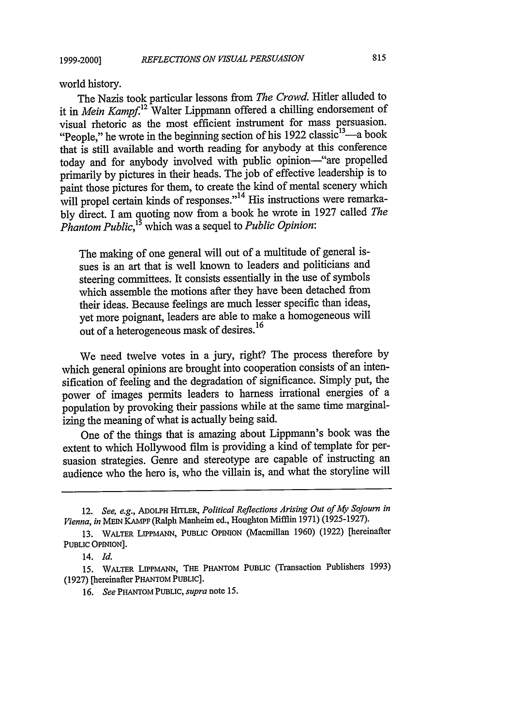**1999-2000]**

world history.

The Nazis took particular lessons from *The Crowd.* Hitler alluded to it in *Mein Kampf.*<sup>12</sup> Walter Lippmann offered a chilling endorsement of visual rhetoric as the most efficient instrument for mass persuasion. "People," he wrote in the beginning section of his  $1922$  classic<sup>13</sup>—a book that is still available and worth reading for anybody at this conference today and for anybody involved with public opinion-"are propelled primarily by pictures in their heads. The job of effective leadership is to paint those pictures for them, to create the kind of mental scenery which will propel certain kinds of responses."<sup>14</sup> His instructions were remarkably direct. I am quoting now from a book he wrote in 1927 called *The Phantom Public*,<sup>13</sup> which was a sequel to *Public Opinion*:

The making of one general will out of a multitude of general issues is an art that is well known to leaders and politicians and steering committees. It consists essentially in the use of symbols which assemble the motions after they have been detached from their ideas. Because feelings are much lesser specific than ideas, yet more poignant, leaders are able to make a homogeneous will out of a heterogeneous mask of desires.<sup>16</sup>

We need twelve votes in a jury, right? The process therefore by which general opinions are brought into cooperation consists of an intensification of feeling and the degradation of significance. Simply put, the power of images permits leaders to harness irrational energies of a population by provoking their passions while at the same time marginalizing the meaning of what is actually being said.

One of the things that is amazing about Lippmann's book was the extent to which Hollywood film is providing a kind of template for persuasion strategies. Genre and stereotype are capable of instructing an audience who the hero is, who the villain is, and what the storyline will

**16.** *See* PHANTOM PUBLIC, *supra* note 15.

<sup>12.</sup> *See, e.g.,* ADOLPH HITLER, *Political Reflections Arising Out of* My *Sojourn in Vienna, in* MEIN KAMPF (Ralph Manheim ed., Houghton Mifflin 1971) (1925-1927).

<sup>13.</sup> WALTER **LIPPMANN,** PUBLIC OPINION (Macmillan 1960) (1922) [hereinafter PUBLIC OPINION].

<sup>14.</sup> *Id.*

<sup>15.</sup> WALTER LIPPMANN, THE PHANTOM PUBLIC (Transaction Publishers 1993) (1927) [hereinafter PHANTOM PUBLIC].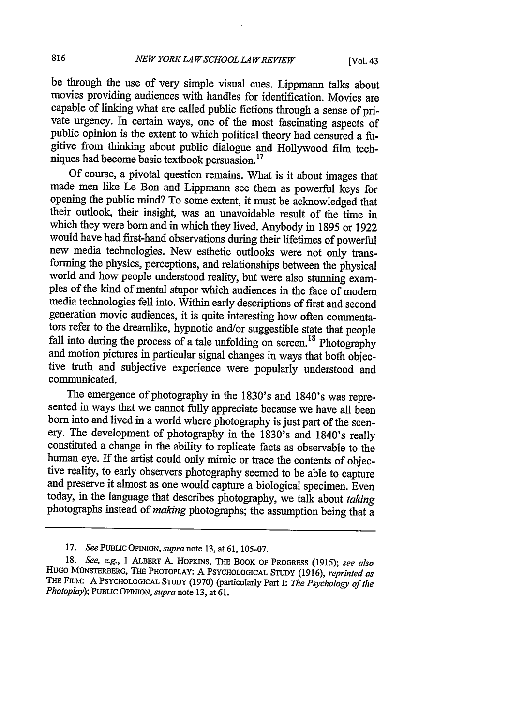be through the use of very simple visual cues. Lippmann talks about movies providing audiences with handles for identification. Movies are capable of linking what are called public fictions through a sense of private urgency. In certain ways, one of the most fascinating aspects of public opinion is the extent to which political theory had censured a fugitive from thinking about public dialogue and Hollywood film techniques had become basic textbook persuasion.<sup>17</sup>

Of course, a pivotal question remains. What is it about images that made men like Le Bon and Lippmann see them as powerful keys for opening the public mind? To some extent, it must be acknowledged that their outlook, their insight, was an unavoidable result of the time in which they were born and in which they lived. Anybody in 1895 or 1922 would have had first-hand observations during their lifetimes of powerful new media technologies. New esthetic outlooks were not only trans-<br>forming the physics, perceptions, and relationships between the physical world and how people understood reality, but were also stunning examples of the kind of mental stupor which audiences in the face of modem media technologies fell into. Within early descriptions of first and second generation movie audiences, it is quite interesting how often commentators refer to the dreamlike, hypnotic and/or suggestible state that people<br>fall into during the process of a tale unfolding on screen.<sup>18</sup> Photography and motion pictures in particular signal changes in ways that both objective truth and subjective experience were popularly understood and communicated.

The emergence of photography in the 1830's and 1840's was repre-<br>sented in ways that we cannot fully appreciate because we have all been born into and lived in a world where photography is just part of the scenery. The development of photography in the 1830's and 1840's really constituted a change in the ability to replicate facts as observable to the human eye. If the artist could only mimic or trace the contents of objective reality, to early observers photography seemed to be able to capture and preserve it almost as one would capture a biological specimen. Even today, in the language that describes photography, we talk about taking photographs instead of *making* photographs; the assumption being that a

*<sup>17.</sup> See* **PUBLIC OPINION,** *supra* note 13, at 61, 105-07.

<sup>18.</sup> *See, e.g.,* 1 ALBERT A. HOPKINS, **THE** BOOK OF PROGRESS (1915); *see also* HuGo MONSTERBERG, THE PHOTOPLAY: A **PSYCHOLOGICAL STUDY** (1916), *reprinted as* THE **FILM:** A **PSYCHOLOGICAL STUDY** (1970) (particularly Part **I:** *The Psychology of the Photoplay);* **PUBLIC OPION,** *supra* note 13, at 61.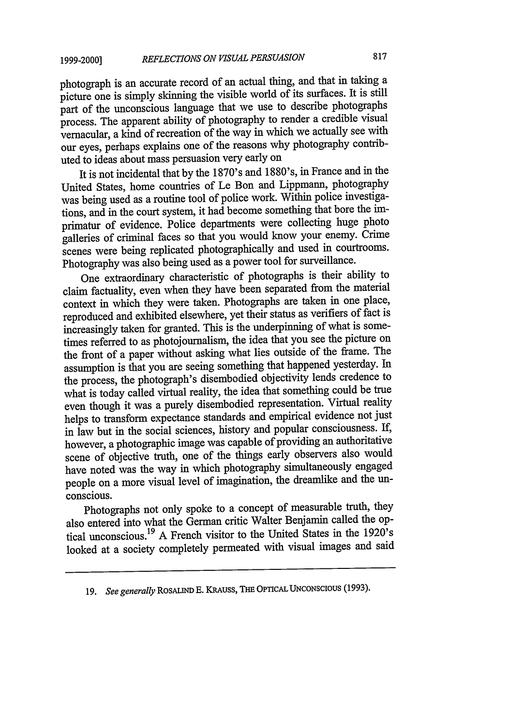#### **1999-2000]**

photograph is an accurate record of an actual thing, and that in taking a picture one is simply skinning the visible world of its surfaces. It is still part of the unconscious language that we use to describe photographs process. The apparent ability of photography to render a credible visual vernacular, a kind of recreation of the way in which we actually see with our eyes, perhaps explains one of the reasons why photography contributed to ideas about mass persuasion very early on

It is not incidental that by the 1870's and 1880's, in France and in the United States, home countries of Le Bon and Lippmann, photography was being used as a routine tool of police work. Within police investigations, and in the court system, it had become something that bore the imprimatur of evidence. Police departments were collecting huge photo galleries of criminal faces so that you would know your enemy. Crime scenes were being replicated photographically and used in courtrooms. Photography was also being used as a power tool for surveillance.

One extraordinary characteristic of photographs is their ability to claim factuality, even when they have been separated from the material context in which they were taken. Photographs are taken in one place, reproduced and exhibited elsewhere, yet their status as verifiers of fact is increasingly taken for granted. This is the underpinning of what is sometimes referred to as photojournalism, the idea that you see the picture on the front of a paper without asking what lies outside of the frame. The assumption is that you are seeing something that happened yesterday. In the process, the photograph's disembodied objectivity lends credence to what is today called virtual reality, the idea that something could be true even though it was a purely disembodied representation. Virtual reality helps to transform expectance standards and empirical evidence not just in law but in the social sciences, history and popular consciousness. If, however, a photographic image was capable of providing an authoritative scene of objective truth, one of the things early observers also would have noted was the way in which photography simultaneously engaged people on a more visual level of imagination, the dreamlike and the unconscious.

Photographs not only spoke to a concept of measurable truth, they also entered into what the German critic Walter Benjamin called the optical unconscious. 19 A French visitor to the United States in the 1920's looked at a society completely permeated with visual images and said

**<sup>19.</sup>** *See generally* ROSALIND **E.** KRAUSS, **THE** OPTICAL **UNCONSCIOUS (1993).**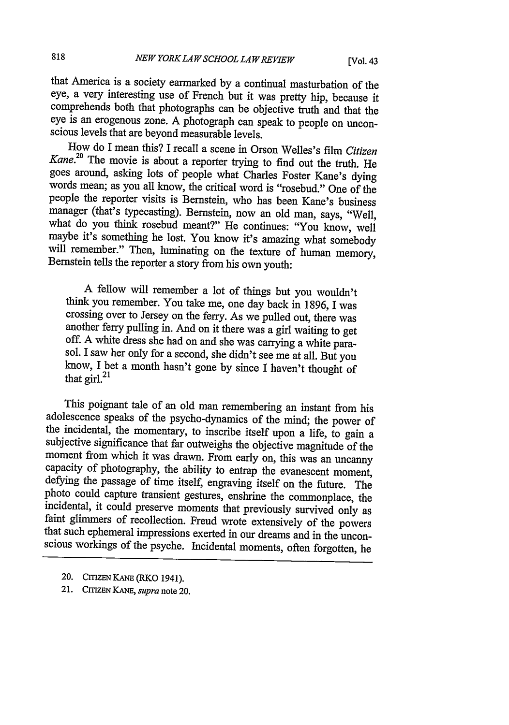that America is a society earmarked by a continual masturbation of the comprehends both that photographs can be objective truth and that the eye is an erogenous zone. A photograph can speak to people on unconscious levels that are beyond measurable levels.<br>How do I mean this? I recall a scene in Orson Welles's film Citizen

Kane.<sup>20</sup> The movie is about a reporter trying to find out the truth. He goes around, asking lots of people what Charles Foster Kane's dying words mean; as you all know, the critical word is "rosebud." One of the people the reporter visits is Bernstein, who has been Kane's business manager (that's typecasting). Bernstein, now an old man, says, "Well, what do you think rosebud meant?" He continues: "You know, well maybe it's something he lost. You know it's amazing what somebody will remember." Then, luminating on the texture of human memory, Bernstein tells the reporte

A fellow will remember a lot of things but you wouldn't think you remember. You take me, one day back in 1896, I was crossing over to Jersey on the ferry. As we pulled out, there was off. A white dress she had on and she was carrying a white parasol. I saw her only for a second, she didn't see me at all. But you know, I bet a month hasn't gone by since I haven't thought of that girl. $^{21}$ 

This poignant tale of an old man remembering an instant from his adolescence speaks of the psycho-dynamics of the mind; the power of the incidental, the momentary, to inscribe itself upon a life, to gain a subjective significance that far outweighs the objective magnitude of the moment from which it was drawn. From early on, this was an uncanny capacity of photography, the ability to entrap the evanescent moment, defying the passage of time itself, engraving itself on the future. The photo could capture transient gestures, enshrine the commonplace, the incidental, it could preserve moments that previously survived only as faint glimmers of recollection. Freud wrote extensively of the powers that such ephemeral impressions exerted in our dreams and in the unconscious workings of the psyche. Incidental moments, often forgotten, he

<sup>20.</sup> CITIZEN KANE (RKO 1941).

<sup>21.</sup> CITIZEN KANE, *supra* note 20.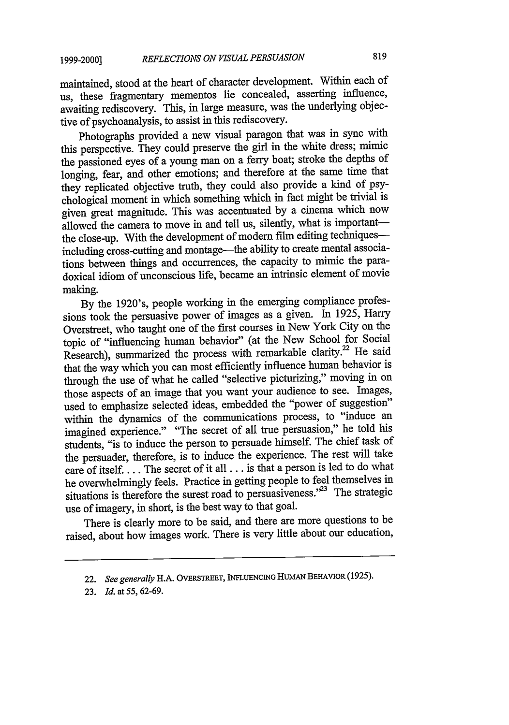maintained, stood at the heart of character development. Within each of us, these fragmentary mementos lie concealed, asserting influence, awaiting rediscovery. This, in large measure, was the underlying objective of psychoanalysis, to assist in this rediscovery.

Photographs provided a new visual paragon that was in sync with this perspective. They could preserve the girl in the white dress; mimic the passioned eyes of a young man on a ferry boat; stroke the depths of longing, fear, and other emotions; and therefore at the same time that they replicated objective truth, they could also provide a kind of psychological moment in which something which in fact might be trivial is given great magnitude. This was accentuated by a cinema which now allowed the camera to move in and tell us, silently, what is importantthe close-up. With the development of modem film editing techniquesincluding cross-cutting and montage-the ability to create mental associations between things and occurrences, the capacity to mimic the paradoxical idiom of unconscious life, became an intrinsic element of movie making.

By the 1920's, people working in the emerging compliance professions took the persuasive power of images as a given. In 1925, Harry Overstreet, who taught one of the first courses in New York City on the topic of "influencing human behavior" (at the New School for Social Research), summarized the process with remarkable clarity.<sup>22</sup> He said that the way which you can most efficiently influence human behavior is through the use of what he called "selective picturizing," moving in on those aspects of an image that you want your audience to see. Images, used to emphasize selected ideas, embedded the "power of suggestion" within the dynamics of the communications process, to "induce an imagined experience." "The secret of all true persuasion," he told his students, "is to induce the person to persuade himself. The chief task of the persuader, therefore, is to induce the experience. The rest will take care of itself.... The secret of it all... is that a person is led to do what he overwhelmingly feels. Practice in getting people to feel themselves in situations is therefore the surest road to persuasiveness."<sup>23</sup> The strategic use of imagery, in short, is the best way to that goal.

There is clearly more to be said, and there are more questions to be raised, about how images work. There is very little about our education,

<sup>22.</sup> *See generally* H.A. OVERSTREET, INFLUENCING **HUMAN** BEHAVIOR (1925).

<sup>23.</sup> *Id. at* 55, 62-69.